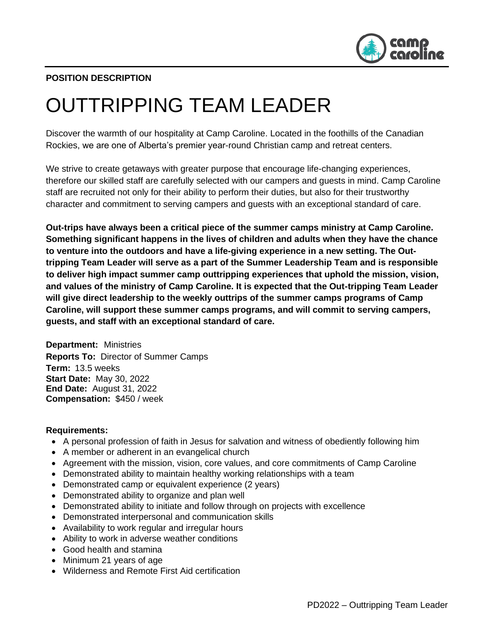

# **POSITION DESCRIPTION**

# OUTTRIPPING TEAM LEADER

Discover the warmth of our hospitality at Camp Caroline. Located in the foothills of the Canadian Rockies, we are one of Alberta's premier year-round Christian camp and retreat centers.

We strive to create getaways with greater purpose that encourage life-changing experiences, therefore our skilled staff are carefully selected with our campers and guests in mind. Camp Caroline staff are recruited not only for their ability to perform their duties, but also for their trustworthy character and commitment to serving campers and guests with an exceptional standard of care.

**Out-trips have always been a critical piece of the summer camps ministry at Camp Caroline. Something significant happens in the lives of children and adults when they have the chance to venture into the outdoors and have a life-giving experience in a new setting. The Outtripping Team Leader will serve as a part of the Summer Leadership Team and is responsible to deliver high impact summer camp outtripping experiences that uphold the mission, vision, and values of the ministry of Camp Caroline. It is expected that the Out-tripping Team Leader will give direct leadership to the weekly outtrips of the summer camps programs of Camp Caroline, will support these summer camps programs, and will commit to serving campers, guests, and staff with an exceptional standard of care.** 

**Department:** Ministries **Reports To:** Director of Summer Camps **Term:** 13.5 weeks **Start Date:** May 30, 2022 **End Date:** August 31, 2022 **Compensation:** \$450 / week

# **Requirements:**

- A personal profession of faith in Jesus for salvation and witness of obediently following him
- A member or adherent in an evangelical church
- Agreement with the mission, vision, core values, and core commitments of Camp Caroline
- Demonstrated ability to maintain healthy working relationships with a team
- Demonstrated camp or equivalent experience (2 years)
- Demonstrated ability to organize and plan well
- Demonstrated ability to initiate and follow through on projects with excellence
- Demonstrated interpersonal and communication skills
- Availability to work regular and irregular hours
- Ability to work in adverse weather conditions
- Good health and stamina
- Minimum 21 years of age
- Wilderness and Remote First Aid certification